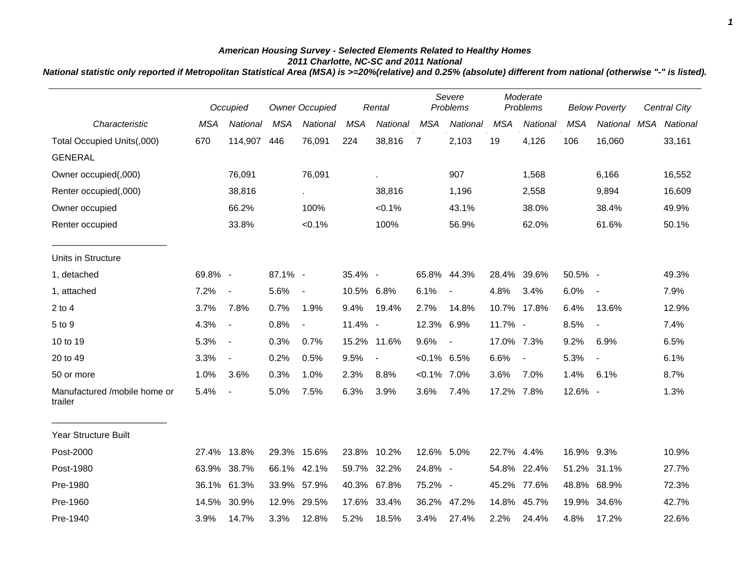## *American Housing Survey - Selected Elements Related to Healthy Homes 2011 Charlotte, NC-SC and 2011 National*

*National statistic only reported if Metropolitan Statistical Area (MSA) is >=20%(relative) and 0.25% (absolute) different from national (otherwise "-" is listed).*

|                                         | Occupied   |                          | Owner Occupied |                          | Rental     |                 | Severe<br>Problems |                          | Moderate<br>Problems |                          | <b>Below Poverty</b> |                          | Central City |          |
|-----------------------------------------|------------|--------------------------|----------------|--------------------------|------------|-----------------|--------------------|--------------------------|----------------------|--------------------------|----------------------|--------------------------|--------------|----------|
| Characteristic                          | <b>MSA</b> | National                 | <b>MSA</b>     | National                 | <b>MSA</b> | <b>National</b> | <b>MSA</b>         | National                 | <b>MSA</b>           | National                 | <b>MSA</b>           | National                 | <b>MSA</b>   | National |
| Total Occupied Units(,000)              | 670        | 114,907                  | 446            | 76,091                   | 224        | 38,816          | $\overline{7}$     | 2,103                    | 19                   | 4,126                    | 106                  | 16,060                   |              | 33,161   |
| <b>GENERAL</b>                          |            |                          |                |                          |            |                 |                    |                          |                      |                          |                      |                          |              |          |
| Owner occupied(,000)                    |            | 76,091                   |                | 76,091                   |            |                 |                    | 907                      |                      | 1,568                    |                      | 6,166                    |              | 16,552   |
| Renter occupied(,000)                   |            | 38,816                   |                | $\sim$                   |            | 38,816          |                    | 1,196                    |                      | 2,558                    |                      | 9,894                    |              | 16,609   |
| Owner occupied                          |            | 66.2%                    |                | 100%                     |            | < 0.1%          |                    | 43.1%                    |                      | 38.0%                    |                      | 38.4%                    |              | 49.9%    |
| Renter occupied                         |            | 33.8%                    |                | $< 0.1\%$                |            | 100%            |                    | 56.9%                    |                      | 62.0%                    |                      | 61.6%                    |              | 50.1%    |
| Units in Structure                      |            |                          |                |                          |            |                 |                    |                          |                      |                          |                      |                          |              |          |
| 1, detached                             | 69.8% -    |                          | 87.1% -        |                          | 35.4% -    |                 | 65.8%              | 44.3%                    |                      | 28.4% 39.6%              | 50.5% -              |                          |              | 49.3%    |
| 1, attached                             | 7.2%       | $\blacksquare$           | 5.6%           | $\overline{\phantom{a}}$ | 10.5% 6.8% |                 | 6.1%               | $\blacksquare$           | 4.8%                 | 3.4%                     | 6.0%                 | $\overline{\phantom{a}}$ |              | 7.9%     |
| $2$ to 4                                | 3.7%       | 7.8%                     | 0.7%           | 1.9%                     | 9.4%       | 19.4%           | 2.7%               | 14.8%                    |                      | 10.7% 17.8%              | 6.4%                 | 13.6%                    |              | 12.9%    |
| 5 to 9                                  | 4.3%       | $\sim$                   | 0.8%           | $\overline{\phantom{a}}$ | 11.4% -    |                 | 12.3%              | 6.9%                     | 11.7% -              |                          | 8.5%                 | $\blacksquare$           |              | 7.4%     |
| 10 to 19                                | 5.3%       | $\sim$                   | 0.3%           | 0.7%                     |            | 15.2% 11.6%     | 9.6%               | $\overline{\phantom{a}}$ | 17.0% 7.3%           |                          | 9.2%                 | 6.9%                     |              | 6.5%     |
| 20 to 49                                | 3.3%       | $\blacksquare$           | 0.2%           | 0.5%                     | 9.5%       | $\blacksquare$  | $<0.1\%$ 6.5%      |                          | 6.6%                 | $\overline{\phantom{a}}$ | 5.3%                 | $\blacksquare$           |              | 6.1%     |
| 50 or more                              | 1.0%       | 3.6%                     | 0.3%           | 1.0%                     | 2.3%       | 8.8%            | $< 0.1\%$ 7.0%     |                          | 3.6%                 | 7.0%                     | 1.4%                 | 6.1%                     |              | 8.7%     |
| Manufactured /mobile home or<br>trailer | 5.4%       | $\overline{\phantom{a}}$ | 5.0%           | 7.5%                     | 6.3%       | 3.9%            | 3.6%               | 7.4%                     | 17.2% 7.8%           |                          | 12.6% -              |                          |              | 1.3%     |
| Year Structure Built                    |            |                          |                |                          |            |                 |                    |                          |                      |                          |                      |                          |              |          |
| Post-2000                               |            | 27.4% 13.8%              |                | 29.3% 15.6%              |            | 23.8% 10.2%     | 12.6% 5.0%         |                          | 22.7%                | 4.4%                     | 16.9% 9.3%           |                          |              | 10.9%    |
| Post-1980                               | 63.9%      | 38.7%                    | 66.1%          | 42.1%                    | 59.7%      | 32.2%           | 24.8% -            |                          | 54.8%                | 22.4%                    | 51.2%                | 31.1%                    |              | 27.7%    |
| Pre-1980                                |            | 36.1% 61.3%              | 33.9%          | 57.9%                    | 40.3%      | 67.8%           | 75.2% -            |                          | 45.2%                | 77.6%                    | 48.8%                | 68.9%                    |              | 72.3%    |
| Pre-1960                                | 14.5%      | 30.9%                    |                | 12.9% 29.5%              | 17.6%      | 33.4%           |                    | 36.2% 47.2%              | 14.8%                | 45.7%                    | 19.9%                | 34.6%                    |              | 42.7%    |
| Pre-1940                                | 3.9%       | 14.7%                    | 3.3%           | 12.8%                    | 5.2%       | 18.5%           | 3.4%               | 27.4%                    | 2.2%                 | 24.4%                    | 4.8%                 | 17.2%                    |              | 22.6%    |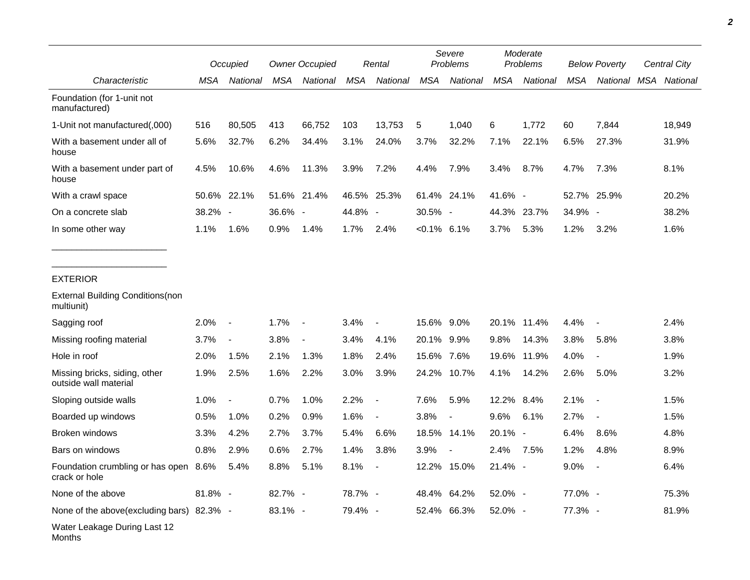|                                                        |         | Occupied                 |            | <b>Owner Occupied</b>    |            | Rental                   |                | Severe<br>Problems       |            | Moderate<br><b>Problems</b> |            | <b>Below Poverty</b>     | Central City |        |
|--------------------------------------------------------|---------|--------------------------|------------|--------------------------|------------|--------------------------|----------------|--------------------------|------------|-----------------------------|------------|--------------------------|--------------|--------|
| Characteristic                                         | MSA     | National                 | <b>MSA</b> | <b>National</b>          | <b>MSA</b> | National                 | <b>MSA</b>     | National                 | <b>MSA</b> | National                    | <b>MSA</b> | National MSA National    |              |        |
| Foundation (for 1-unit not<br>manufactured)            |         |                          |            |                          |            |                          |                |                          |            |                             |            |                          |              |        |
| 1-Unit not manufactured(,000)                          | 516     | 80,505                   | 413        | 66,752                   | 103        | 13,753                   | 5              | 1.040                    | 6          | 1.772                       | 60         | 7.844                    |              | 18,949 |
| With a basement under all of<br>house                  | 5.6%    | 32.7%                    | 6.2%       | 34.4%                    | 3.1%       | 24.0%                    | 3.7%           | 32.2%                    | 7.1%       | 22.1%                       | 6.5%       | 27.3%                    |              | 31.9%  |
| With a basement under part of<br>house                 | 4.5%    | 10.6%                    | 4.6%       | 11.3%                    | 3.9%       | 7.2%                     | 4.4%           | 7.9%                     | 3.4%       | 8.7%                        | 4.7%       | 7.3%                     |              | 8.1%   |
| With a crawl space                                     |         | 50.6% 22.1%              |            | 51.6% 21.4%              |            | 46.5% 25.3%              |                | 61.4% 24.1%              | 41.6% -    |                             |            | 52.7% 25.9%              |              | 20.2%  |
| On a concrete slab                                     | 38.2% - |                          | 36.6% -    |                          | 44.8% -    |                          | 30.5% -        |                          |            | 44.3% 23.7%                 | 34.9%      | $\overline{\phantom{a}}$ |              | 38.2%  |
| In some other way                                      | 1.1%    | 1.6%                     | 0.9%       | 1.4%                     | 1.7%       | 2.4%                     | $< 0.1\%$ 6.1% |                          | 3.7%       | 5.3%                        | 1.2%       | 3.2%                     |              | 1.6%   |
|                                                        |         |                          |            |                          |            |                          |                |                          |            |                             |            |                          |              |        |
| <b>EXTERIOR</b>                                        |         |                          |            |                          |            |                          |                |                          |            |                             |            |                          |              |        |
| <b>External Building Conditions(non</b><br>multiunit)  |         |                          |            |                          |            |                          |                |                          |            |                             |            |                          |              |        |
| Sagging roof                                           | 2.0%    | $\overline{\phantom{a}}$ | 1.7%       | $\overline{\phantom{a}}$ | 3.4%       | $\blacksquare$           | 15.6%          | $9.0\%$                  |            | 20.1% 11.4%                 | 4.4%       | $\overline{\phantom{a}}$ |              | 2.4%   |
| Missing roofing material                               | 3.7%    | $\blacksquare$           | 3.8%       | $\blacksquare$           | 3.4%       | 4.1%                     | 20.1% 9.9%     |                          | 9.8%       | 14.3%                       | 3.8%       | 5.8%                     |              | 3.8%   |
| Hole in roof                                           | 2.0%    | 1.5%                     | 2.1%       | 1.3%                     | 1.8%       | 2.4%                     | 15.6% 7.6%     |                          | 19.6%      | 11.9%                       | 4.0%       | $\overline{\phantom{a}}$ |              | 1.9%   |
| Missing bricks, siding, other<br>outside wall material | 1.9%    | 2.5%                     | 1.6%       | 2.2%                     | 3.0%       | 3.9%                     | 24.2%          | 10.7%                    | 4.1%       | 14.2%                       | 2.6%       | 5.0%                     |              | 3.2%   |
| Sloping outside walls                                  | 1.0%    |                          | 0.7%       | 1.0%                     | 2.2%       |                          | 7.6%           | 5.9%                     | 12.2% 8.4% |                             | 2.1%       | $\overline{\phantom{a}}$ |              | 1.5%   |
| Boarded up windows                                     | 0.5%    | 1.0%                     | 0.2%       | 0.9%                     | 1.6%       | $\overline{\phantom{a}}$ | 3.8%           | $\blacksquare$           | 9.6%       | 6.1%                        | 2.7%       | $\overline{a}$           |              | 1.5%   |
| <b>Broken windows</b>                                  | 3.3%    | 4.2%                     | 2.7%       | 3.7%                     | 5.4%       | 6.6%                     |                | 18.5% 14.1%              | 20.1% -    |                             | 6.4%       | 8.6%                     |              | 4.8%   |
| Bars on windows                                        | 0.8%    | 2.9%                     | 0.6%       | 2.7%                     | 1.4%       | 3.8%                     | 3.9%           | $\overline{\phantom{a}}$ | 2.4%       | 7.5%                        | 1.2%       | 4.8%                     |              | 8.9%   |
| Foundation crumbling or has open 8.6%<br>crack or hole |         | 5.4%                     | 8.8%       | 5.1%                     | 8.1%       | $\blacksquare$           | 12.2%          | 15.0%                    | 21.4% -    |                             | 9.0%       | $\blacksquare$           |              | 6.4%   |
| None of the above                                      | 81.8% - |                          | 82.7% -    |                          | 78.7% -    |                          | 48.4%          | 64.2%                    | 52.0% -    |                             | 77.0% -    |                          |              | 75.3%  |
| None of the above(excluding bars) 82.3% -              |         |                          | 83.1% -    |                          | 79.4% -    |                          |                | 52.4% 66.3%              | 52.0% -    |                             | 77.3% -    |                          |              | 81.9%  |
| Water Leakage During Last 12                           |         |                          |            |                          |            |                          |                |                          |            |                             |            |                          |              |        |

Months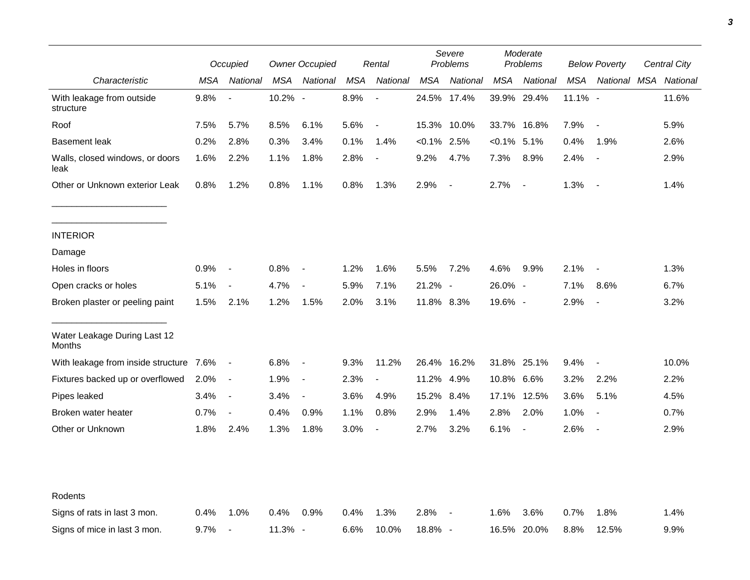|                                         | Occupied |                          | <b>Owner Occupied</b> |                | Rental  |                          | Severe<br>Problems |                | Moderate<br>Problems |                | <b>Below Poverty</b> |                          | Central City |       |
|-----------------------------------------|----------|--------------------------|-----------------------|----------------|---------|--------------------------|--------------------|----------------|----------------------|----------------|----------------------|--------------------------|--------------|-------|
| Characteristic                          | MSA      | National                 | MSA                   | National       | MSA     | National                 | MSA                | National       | MSA                  | National       | MSA                  | National MSA National    |              |       |
| With leakage from outside<br>structure  | 9.8%     |                          | 10.2% -               |                | 8.9%    | $\blacksquare$           |                    | 24.5% 17.4%    |                      | 39.9% 29.4%    | 11.1% -              |                          |              | 11.6% |
| Roof                                    | 7.5%     | 5.7%                     | 8.5%                  | 6.1%           | 5.6%    | $\blacksquare$           |                    | 15.3% 10.0%    |                      | 33.7% 16.8%    | 7.9%                 | $\blacksquare$           |              | 5.9%  |
| <b>Basement leak</b>                    | 0.2%     | 2.8%                     | 0.3%                  | 3.4%           | 0.1%    | 1.4%                     | $< 0.1\%$ 2.5%     |                | $< 0.1\%$ 5.1%       |                | 0.4%                 | 1.9%                     |              | 2.6%  |
| Walls, closed windows, or doors<br>leak | 1.6%     | 2.2%                     | 1.1%                  | 1.8%           | 2.8%    | $\overline{\phantom{a}}$ | 9.2%               | 4.7%           | 7.3%                 | 8.9%           | 2.4%                 | $\blacksquare$           |              | 2.9%  |
| Other or Unknown exterior Leak          | 0.8%     | 1.2%                     | 0.8%                  | 1.1%           | 0.8%    | 1.3%                     | 2.9%               | $\blacksquare$ | 2.7%                 | $\sim$         | 1.3%                 | $\blacksquare$           |              | 1.4%  |
| <b>INTERIOR</b>                         |          |                          |                       |                |         |                          |                    |                |                      |                |                      |                          |              |       |
| Damage                                  |          |                          |                       |                |         |                          |                    |                |                      |                |                      |                          |              |       |
| Holes in floors                         | 0.9%     | $\overline{\phantom{a}}$ | 0.8%                  | $\blacksquare$ | 1.2%    | 1.6%                     | 5.5%               | 7.2%           | 4.6%                 | 9.9%           | 2.1%                 | $\blacksquare$           |              | 1.3%  |
| Open cracks or holes                    | 5.1%     | $\overline{\phantom{a}}$ | 4.7%                  | $\blacksquare$ | 5.9%    | 7.1%                     | 21.2% -            |                | 26.0% -              |                | 7.1%                 | 8.6%                     |              | 6.7%  |
| Broken plaster or peeling paint         | 1.5%     | 2.1%                     | 1.2%                  | 1.5%           | 2.0%    | 3.1%                     | 11.8% 8.3%         |                | 19.6% -              |                | 2.9%                 | $\blacksquare$           |              | 3.2%  |
| Water Leakage During Last 12<br>Months  |          |                          |                       |                |         |                          |                    |                |                      |                |                      |                          |              |       |
| With leakage from inside structure      | 7.6%     | $\sim$                   | 6.8%                  | $\blacksquare$ | 9.3%    | 11.2%                    | 26.4%              | 16.2%          |                      | 31.8% 25.1%    | 9.4%                 | $\overline{\phantom{a}}$ |              | 10.0% |
| Fixtures backed up or overflowed        | 2.0%     | $\overline{\phantom{a}}$ | 1.9%                  | $\blacksquare$ | 2.3%    |                          | 11.2%              | 4.9%           | 10.8% 6.6%           |                | 3.2%                 | 2.2%                     |              | 2.2%  |
| Pipes leaked                            | 3.4%     | $\sim$                   | 3.4%                  | $\blacksquare$ | 3.6%    | 4.9%                     | 15.2%              | 8.4%           | 17.1%                | 12.5%          | 3.6%                 | 5.1%                     |              | 4.5%  |
| Broken water heater                     | 0.7%     | $\blacksquare$           | 0.4%                  | 0.9%           | 1.1%    | 0.8%                     | 2.9%               | 1.4%           | 2.8%                 | 2.0%           | 1.0%                 |                          |              | 0.7%  |
| Other or Unknown                        | 1.8%     | 2.4%                     | 1.3%                  | 1.8%           | $3.0\%$ | $\overline{\phantom{a}}$ | 2.7%               | 3.2%           | 6.1%                 | $\blacksquare$ | 2.6%                 | $\blacksquare$           |              | 2.9%  |
| Rodents                                 |          |                          |                       |                |         |                          |                    |                |                      |                |                      |                          |              |       |
| Signs of rats in last 3 mon.            | 0.4%     | 1.0%                     | 0.4%                  | 0.9%           | 0.4%    | 1.3%                     | 2.8%               |                | 1.6%                 | 3.6%           | 0.7%                 | 1.8%                     |              | 1.4%  |
| Signs of mice in last 3 mon.            | 9.7%     | $\overline{\phantom{a}}$ | 11.3% -               |                | 6.6%    | 10.0%                    | 18.8% -            |                |                      | 16.5% 20.0%    | 8.8%                 | 12.5%                    |              | 9.9%  |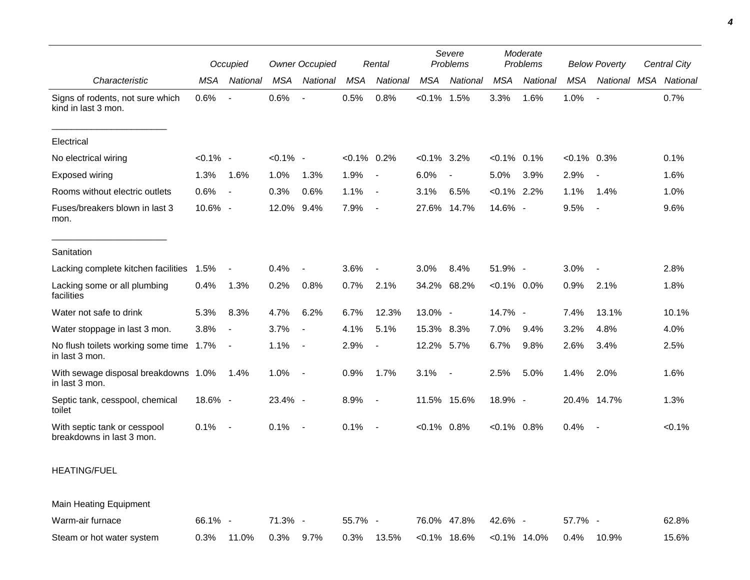|                                                           | Occupied    |                          | <b>Owner Occupied</b> |                          | Rental         |                | Severe<br>Problems |                          | Moderate<br>Problems |                 | <b>Below Poverty</b> |                          | Central City |           |
|-----------------------------------------------------------|-------------|--------------------------|-----------------------|--------------------------|----------------|----------------|--------------------|--------------------------|----------------------|-----------------|----------------------|--------------------------|--------------|-----------|
| Characteristic                                            | <b>MSA</b>  | National                 | <b>MSA</b>            | National                 | <b>MSA</b>     | National       | <b>MSA</b>         | National                 | <b>MSA</b>           | National        | <b>MSA</b>           | National MSA             |              | National  |
| Signs of rodents, not sure which<br>kind in last 3 mon.   | 0.6%        | $\overline{\phantom{a}}$ | 0.6%                  |                          | 0.5%           | 0.8%           | $< 0.1\%$ 1.5%     |                          | 3.3%                 | 1.6%            | 1.0%                 | $\overline{\phantom{a}}$ |              | 0.7%      |
| Electrical                                                |             |                          |                       |                          |                |                |                    |                          |                      |                 |                      |                          |              |           |
| No electrical wiring                                      | $< 0.1\%$ - |                          | $< 0.1\%$ -           |                          | $< 0.1\%$ 0.2% |                | $< 0.1\%$ 3.2%     |                          | $< 0.1\%$ 0.1%       |                 | $< 0.1\%$ 0.3%       |                          |              | 0.1%      |
| <b>Exposed wiring</b>                                     | 1.3%        | 1.6%                     | 1.0%                  | 1.3%                     | 1.9%           | $\sim$         | 6.0%               | $\overline{\phantom{a}}$ | 5.0%                 | 3.9%            | 2.9%                 |                          |              | 1.6%      |
| Rooms without electric outlets                            | 0.6%        | $\sim$                   | 0.3%                  | 0.6%                     | 1.1%           | $\sim$ $-$     | 3.1%               | 6.5%                     | $< 0.1\%$ 2.2%       |                 | 1.1%                 | 1.4%                     |              | 1.0%      |
| Fuses/breakers blown in last 3<br>mon.                    | 10.6% -     |                          | 12.0% 9.4%            |                          | 7.9%           | $\sim$         | 27.6%              | 14.7%                    | 14.6% -              |                 | 9.5%                 | $\overline{\phantom{a}}$ |              | 9.6%      |
| Sanitation                                                |             |                          |                       |                          |                |                |                    |                          |                      |                 |                      |                          |              |           |
| Lacking complete kitchen facilities                       | 1.5%        | $\overline{\phantom{a}}$ | 0.4%                  | $\blacksquare$           | 3.6%           | $\blacksquare$ | 3.0%               | 8.4%                     | 51.9% -              |                 | 3.0%                 |                          |              | 2.8%      |
| Lacking some or all plumbing<br>facilities                | 0.4%        | 1.3%                     | 0.2%                  | 0.8%                     | 0.7%           | 2.1%           |                    | 34.2% 68.2%              | $<0.1\%$ 0.0%        |                 | 0.9%                 | 2.1%                     |              | 1.8%      |
| Water not safe to drink                                   | 5.3%        | 8.3%                     | 4.7%                  | 6.2%                     | 6.7%           | 12.3%          | 13.0% -            |                          | 14.7% -              |                 | 7.4%                 | 13.1%                    |              | 10.1%     |
| Water stoppage in last 3 mon.                             | 3.8%        | $\blacksquare$           | 3.7%                  | $\overline{\phantom{a}}$ | 4.1%           | 5.1%           | 15.3% 8.3%         |                          | 7.0%                 | 9.4%            | 3.2%                 | 4.8%                     |              | 4.0%      |
| No flush toilets working some time 1.7%<br>in last 3 mon. |             | $\sim$                   | 1.1%                  | $\blacksquare$           | 2.9%           | $\blacksquare$ | 12.2%              | 5.7%                     | 6.7%                 | 9.8%            | 2.6%                 | 3.4%                     |              | 2.5%      |
| With sewage disposal breakdowns 1.0%<br>in last 3 mon.    |             | 1.4%                     | 1.0%                  | $\overline{\phantom{a}}$ | 0.9%           | 1.7%           | 3.1%               | $\overline{\phantom{a}}$ | 2.5%                 | 5.0%            | 1.4%                 | 2.0%                     |              | 1.6%      |
| Septic tank, cesspool, chemical<br>toilet                 | 18.6% -     |                          | $23.4\%$ -            |                          | 8.9%           | $\sim$         |                    | 11.5% 15.6%              | 18.9% -              |                 |                      | 20.4% 14.7%              |              | 1.3%      |
| With septic tank or cesspool<br>breakdowns in last 3 mon. | 0.1%        | $\overline{\phantom{a}}$ | 0.1%                  | $\overline{\phantom{a}}$ | 0.1%           | $\sim$         | $< 0.1\%$ 0.8%     |                          | $< 0.1\%$ 0.8%       |                 | 0.4%                 |                          |              | $< 0.1\%$ |
| <b>HEATING/FUEL</b>                                       |             |                          |                       |                          |                |                |                    |                          |                      |                 |                      |                          |              |           |
| Main Heating Equipment                                    |             |                          |                       |                          |                |                |                    |                          |                      |                 |                      |                          |              |           |
| Warm-air furnace                                          | 66.1% -     |                          | 71.3% -               |                          | 55.7% -        |                |                    | 76.0% 47.8%              | 42.6% -              |                 | 57.7% -              |                          |              | 62.8%     |
| Steam or hot water system                                 | 0.3%        | 11.0%                    | 0.3%                  | 9.7%                     | 0.3%           | 13.5%          |                    | $< 0.1\%$ 18.6%          |                      | $< 0.1\%$ 14.0% | 0.4%                 | 10.9%                    |              | 15.6%     |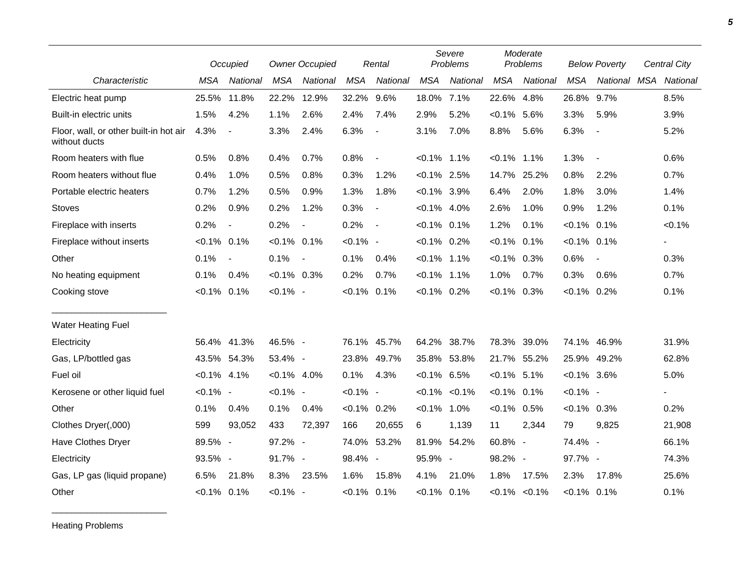|                                                         |                | Occupied                 |                | <b>Owner Occupied</b>    |                | Rental                   | Severe<br>Problems |             | Moderate<br>Problems |                     | <b>Below Poverty</b> |                          | Central City |
|---------------------------------------------------------|----------------|--------------------------|----------------|--------------------------|----------------|--------------------------|--------------------|-------------|----------------------|---------------------|----------------------|--------------------------|--------------|
| Characteristic                                          | <b>MSA</b>     | National                 | <b>MSA</b>     | National                 | <b>MSA</b>     | National                 | <b>MSA</b>         | National    | <b>MSA</b>           | National            | <b>MSA</b>           | National MSA             | National     |
| Electric heat pump                                      | 25.5%          | 11.8%                    | 22.2%          | 12.9%                    | 32.2%          | 9.6%                     | 18.0%              | 7.1%        | 22.6%                | 4.8%                | 26.8%                | 9.7%                     | 8.5%         |
| Built-in electric units                                 | 1.5%           | 4.2%                     | 1.1%           | 2.6%                     | 2.4%           | 7.4%                     | 2.9%               | 5.2%        | $< 0.1\%$            | 5.6%                | 3.3%                 | 5.9%                     | 3.9%         |
| Floor, wall, or other built-in hot air<br>without ducts | 4.3%           | $\blacksquare$           | 3.3%           | 2.4%                     | 6.3%           | $\blacksquare$           | 3.1%               | 7.0%        | 8.8%                 | 5.6%                | 6.3%                 | $\overline{\phantom{a}}$ | 5.2%         |
| Room heaters with flue                                  | 0.5%           | 0.8%                     | 0.4%           | 0.7%                     | 0.8%           | $\blacksquare$           | $< 0.1\%$ 1.1%     |             | $< 0.1\%$            | 1.1%                | 1.3%                 |                          | 0.6%         |
| Room heaters without flue                               | 0.4%           | 1.0%                     | 0.5%           | 0.8%                     | 0.3%           | 1.2%                     | $< 0.1\%$ 2.5%     |             | 14.7%                | 25.2%               | 0.8%                 | 2.2%                     | 0.7%         |
| Portable electric heaters                               | 0.7%           | 1.2%                     | 0.5%           | 0.9%                     | 1.3%           | 1.8%                     | $< 0.1\%$ 3.9%     |             | 6.4%                 | 2.0%                | 1.8%                 | 3.0%                     | 1.4%         |
| <b>Stoves</b>                                           | 0.2%           | 0.9%                     | 0.2%           | 1.2%                     | 0.3%           | $\blacksquare$           | $< 0.1\%$ 4.0%     |             | 2.6%                 | 1.0%                | 0.9%                 | 1.2%                     | 0.1%         |
| Fireplace with inserts                                  | 0.2%           | $\overline{\phantom{a}}$ | 0.2%           | $\overline{\phantom{a}}$ | 0.2%           | $\overline{\phantom{a}}$ | $< 0.1\%$ 0.1%     |             | 1.2%                 | 0.1%                | $< 0.1\%$            | 0.1%                     | $< 0.1\%$    |
| Fireplace without inserts                               | $< 0.1\%$ 0.1% |                          | $< 0.1\%$ 0.1% |                          | $< 0.1\%$ -    |                          | $< 0.1\%$ 0.2%     |             | $< 0.1\%$            | 0.1%                | $< 0.1\%$ 0.1%       |                          |              |
| Other                                                   | 0.1%           | $\blacksquare$           | 0.1%           |                          | 0.1%           | 0.4%                     | $< 0.1\%$ 1.1%     |             | $< 0.1\%$            | 0.3%                | 0.6%                 |                          | 0.3%         |
| No heating equipment                                    | 0.1%           | 0.4%                     | $< 0.1\%$ 0.3% |                          | 0.2%           | 0.7%                     | $< 0.1\%$          | 1.1%        | 1.0%                 | 0.7%                | 0.3%                 | 0.6%                     | 0.7%         |
| Cooking stove                                           | $< 0.1\%$      | 0.1%                     | $< 0.1\%$ -    |                          | $< 0.1\%$ 0.1% |                          | $< 0.1\%$ 0.2%     |             | $< 0.1\%$            | 0.3%                | $< 0.1\%$ 0.2%       |                          | 0.1%         |
| <b>Water Heating Fuel</b>                               |                |                          |                |                          |                |                          |                    |             |                      |                     |                      |                          |              |
| Electricity                                             |                | 56.4% 41.3%              | 46.5% -        |                          | 76.1%          | 45.7%                    | 64.2%              | 38.7%       | 78.3%                | 39.0%               | 74.1%                | 46.9%                    | 31.9%        |
| Gas, LP/bottled gas                                     |                | 43.5% 54.3%              | 53.4% -        |                          | 23.8%          | 49.7%                    |                    | 35.8% 53.8% | 21.7% 55.2%          |                     | 25.9%                | 49.2%                    | 62.8%        |
| Fuel oil                                                | $< 0.1\%$ 4.1% |                          | $< 0.1\%$ 4.0% |                          | 0.1%           | 4.3%                     | $<0.1\%$ 6.5%      |             | $< 0.1\%$ 5.1%       |                     | $< 0.1\%$ 3.6%       |                          | 5.0%         |
| Kerosene or other liquid fuel                           | $< 0.1\%$ -    |                          | $< 0.1\%$ -    |                          | $< 0.1\%$ -    |                          | $< 0.1\%$          | $< 0.1\%$   | $< 0.1\%$            | 0.1%                | $< 0.1\%$ -          |                          |              |
| Other                                                   | 0.1%           | 0.4%                     | 0.1%           | 0.4%                     | $< 0.1\%$ 0.2% |                          | $< 0.1\%$          | 1.0%        | $< 0.1\%$ 0.5%       |                     | $< 0.1\%$ 0.3%       |                          | 0.2%         |
| Clothes Dryer(,000)                                     | 599            | 93,052                   | 433            | 72,397                   | 166            | 20,655                   | 6                  | 1,139       | 11                   | 2,344               | 79                   | 9,825                    | 21,908       |
| Have Clothes Dryer                                      | 89.5% -        |                          | 97.2% -        |                          | 74.0% 53.2%    |                          |                    | 81.9% 54.2% | 60.8% -              |                     | 74.4% -              |                          | 66.1%        |
| Electricity                                             | 93.5% -        |                          | 91.7% -        |                          | 98.4% -        |                          | 95.9% -            |             | 98.2% -              |                     | 97.7% -              |                          | 74.3%        |
| Gas, LP gas (liquid propane)                            | 6.5%           | 21.8%                    | 8.3%           | 23.5%                    | 1.6%           | 15.8%                    | 4.1%               | 21.0%       | 1.8%                 | 17.5%               | 2.3%                 | 17.8%                    | 25.6%        |
| Other                                                   | $< 0.1\%$ 0.1% |                          | $< 0.1\%$ -    |                          | $< 0.1\%$ 0.1% |                          | $< 0.1\%$ 0.1%     |             |                      | $< 0.1\%$ $< 0.1\%$ | $< 0.1\%$ 0.1%       |                          | 0.1%         |

Heating Problems

\_\_\_\_\_\_\_\_\_\_\_\_\_\_\_\_\_\_\_\_\_\_\_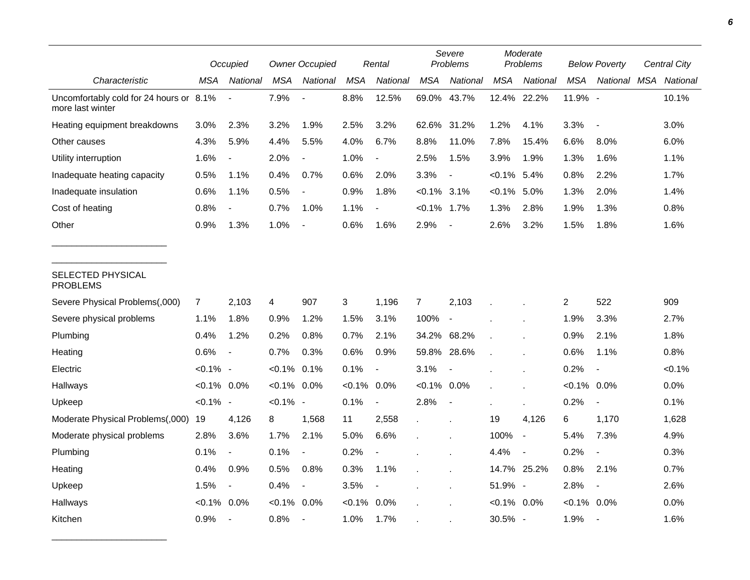|                                                             |                | Occupied                     |                | <b>Owner Occupied</b>    |                | Rental                   |                | Severe<br>Problems       |                | Moderate<br>Problems     |                | <b>Below Poverty</b> |  | Central City |  |
|-------------------------------------------------------------|----------------|------------------------------|----------------|--------------------------|----------------|--------------------------|----------------|--------------------------|----------------|--------------------------|----------------|----------------------|--|--------------|--|
| Characteristic                                              | MSA            | National                     | <b>MSA</b>     | National                 | <b>MSA</b>     | National                 | <b>MSA</b>     | <b>National</b>          | <b>MSA</b>     | National                 | <b>MSA</b>     | National MSA         |  | National     |  |
| Uncomfortably cold for 24 hours or 8.1%<br>more last winter |                |                              | 7.9%           |                          | 8.8%           | 12.5%                    | 69.0%          | 43.7%                    | 12.4% 22.2%    |                          | 11.9% -        |                      |  | 10.1%        |  |
| Heating equipment breakdowns                                | 3.0%           | 2.3%                         | 3.2%           | 1.9%                     | 2.5%           | 3.2%                     |                | 62.6% 31.2%              | 1.2%           | 4.1%                     | 3.3%           |                      |  | 3.0%         |  |
| Other causes                                                | 4.3%           | 5.9%                         | 4.4%           | 5.5%                     | 4.0%           | 6.7%                     | 8.8%           | 11.0%                    | 7.8%           | 15.4%                    | 6.6%           | 8.0%                 |  | 6.0%         |  |
| Utility interruption                                        | 1.6%           | $\qquad \qquad \blacksquare$ | 2.0%           | $\blacksquare$           | 1.0%           | $\blacksquare$           | 2.5%           | 1.5%                     | 3.9%           | 1.9%                     | 1.3%           | 1.6%                 |  | 1.1%         |  |
| Inadequate heating capacity                                 | 0.5%           | 1.1%                         | 0.4%           | 0.7%                     | $0.6\%$        | 2.0%                     | 3.3%           | $\overline{\phantom{a}}$ | $< 0.1\%$ 5.4% |                          | 0.8%           | 2.2%                 |  | 1.7%         |  |
| Inadequate insulation                                       | 0.6%           | 1.1%                         | 0.5%           | $\overline{\phantom{a}}$ | 0.9%           | 1.8%                     | $< 0.1\%$      | 3.1%                     | $< 0.1\%$      | 5.0%                     | 1.3%           | 2.0%                 |  | 1.4%         |  |
| Cost of heating                                             | 0.8%           |                              | 0.7%           | 1.0%                     | 1.1%           |                          | $< 0.1\%$ 1.7% |                          | 1.3%           | 2.8%                     | 1.9%           | 1.3%                 |  | 0.8%         |  |
| Other                                                       | 0.9%           | 1.3%                         | 1.0%           |                          | 0.6%           | 1.6%                     | 2.9%           |                          | 2.6%           | 3.2%                     | 1.5%           | 1.8%                 |  | 1.6%         |  |
| SELECTED PHYSICAL<br><b>PROBLEMS</b>                        |                |                              |                |                          |                |                          |                |                          |                |                          |                |                      |  |              |  |
| Severe Physical Problems(,000)                              | 7              | 2,103                        | 4              | 907                      | 3              | 1,196                    | $\overline{7}$ | 2,103                    |                |                          | $\overline{2}$ | 522                  |  | 909          |  |
| Severe physical problems                                    | 1.1%           | 1.8%                         | 0.9%           | 1.2%                     | 1.5%           | 3.1%                     | 100%           | $\overline{\phantom{a}}$ |                |                          | 1.9%           | 3.3%                 |  | 2.7%         |  |
| Plumbing                                                    | 0.4%           | 1.2%                         | 0.2%           | 0.8%                     | 0.7%           | 2.1%                     |                | 34.2% 68.2%              |                |                          | 0.9%           | 2.1%                 |  | 1.8%         |  |
| Heating                                                     | 0.6%           | $\overline{\phantom{a}}$     | 0.7%           | 0.3%                     | 0.6%           | 0.9%                     | 59.8%          | 28.6%                    |                |                          | 0.6%           | 1.1%                 |  | 0.8%         |  |
| Electric                                                    | $< 0.1\%$ -    |                              | $< 0.1\%$ 0.1% |                          | 0.1%           | $\overline{\phantom{a}}$ | 3.1%           | $\overline{\phantom{a}}$ |                |                          | 0.2%           |                      |  | < 0.1%       |  |
| Hallways                                                    | $< 0.1\%$ 0.0% |                              | $< 0.1\%$ 0.0% |                          | $< 0.1\%$ 0.0% |                          | $< 0.1\%$ 0.0% |                          |                |                          | $< 0.1\%$ 0.0% |                      |  | 0.0%         |  |
| Upkeep                                                      | $< 0.1\%$ -    |                              | $< 0.1\%$ -    |                          | 0.1%           | $\overline{\phantom{a}}$ | 2.8%           | $\overline{\phantom{a}}$ |                |                          | 0.2%           |                      |  | 0.1%         |  |
| Moderate Physical Problems(,000)                            | 19             | 4,126                        | 8              | 1,568                    | 11             | 2,558                    |                | $\epsilon$               | 19             | 4,126                    | 6              | 1,170                |  | 1,628        |  |
| Moderate physical problems                                  | 2.8%           | 3.6%                         | 1.7%           | 2.1%                     | 5.0%           | 6.6%                     |                |                          | 100%           | $\overline{\phantom{a}}$ | 5.4%           | 7.3%                 |  | 4.9%         |  |
| Plumbing                                                    | 0.1%           | $\overline{a}$               | 0.1%           | $\blacksquare$           | 0.2%           |                          |                |                          | 4.4%           | $\overline{\phantom{a}}$ | 0.2%           |                      |  | 0.3%         |  |
| Heating                                                     | 0.4%           | 0.9%                         | 0.5%           | 0.8%                     | 0.3%           | 1.1%                     |                |                          |                | 14.7% 25.2%              | 0.8%           | 2.1%                 |  | 0.7%         |  |
| Upkeep                                                      | 1.5%           | $\overline{\phantom{a}}$     | 0.4%           | $\blacksquare$           | 3.5%           | $\blacksquare$           |                |                          | 51.9% -        |                          | 2.8%           | $\blacksquare$       |  | 2.6%         |  |
| Hallways                                                    | $< 0.1\%$ 0.0% |                              | $< 0.1\%$ 0.0% |                          | $< 0.1\%$ 0.0% |                          |                |                          | $< 0.1\%$ 0.0% |                          | $< 0.1\%$ 0.0% |                      |  | 0.0%         |  |
| Kitchen                                                     | 0.9%           | $\blacksquare$               | 0.8%           | $\overline{\phantom{a}}$ | 1.0%           | 1.7%                     |                |                          | 30.5% -        |                          | 1.9%           |                      |  | 1.6%         |  |

\_\_\_\_\_\_\_\_\_\_\_\_\_\_\_\_\_\_\_\_\_\_\_